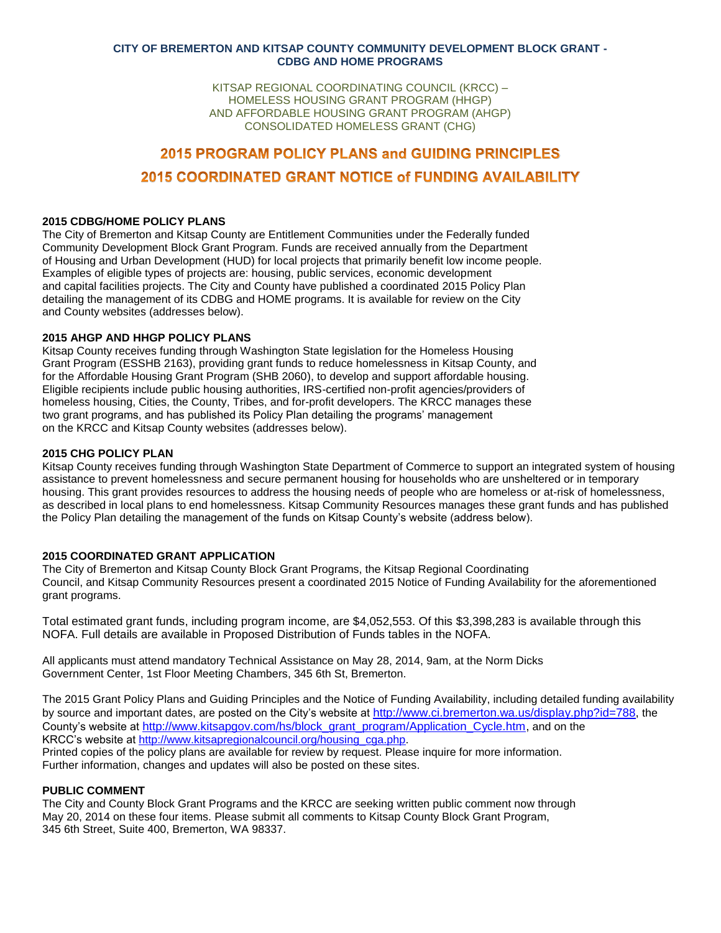### **CITY OF BREMERTON AND KITSAP COUNTY COMMUNITY DEVELOPMENT BLOCK GRANT - CDBG AND HOME PROGRAMS**

KITSAP REGIONAL COORDINATING COUNCIL (KRCC) – HOMELESS HOUSING GRANT PROGRAM (HHGP) AND AFFORDABLE HOUSING GRANT PROGRAM (AHGP) CONSOLIDATED HOMELESS GRANT (CHG)

# **2015 PROGRAM POLICY PLANS and GUIDING PRINCIPLES** 2015 COORDINATED GRANT NOTICE of FUNDING AVAILABILITY

#### **2015 CDBG/HOME POLICY PLANS**

The City of Bremerton and Kitsap County are Entitlement Communities under the Federally funded Community Development Block Grant Program. Funds are received annually from the Department of Housing and Urban Development (HUD) for local projects that primarily benefit low income people. Examples of eligible types of projects are: housing, public services, economic development and capital facilities projects. The City and County have published a coordinated 2015 Policy Plan detailing the management of its CDBG and HOME programs. It is available for review on the City and County websites (addresses below).

# **2015 AHGP AND HHGP POLICY PLANS**

Kitsap County receives funding through Washington State legislation for the Homeless Housing Grant Program (ESSHB 2163), providing grant funds to reduce homelessness in Kitsap County, and for the Affordable Housing Grant Program (SHB 2060), to develop and support affordable housing. Eligible recipients include public housing authorities, IRS-certified non-profit agencies/providers of homeless housing, Cities, the County, Tribes, and for-profit developers. The KRCC manages these two grant programs, and has published its Policy Plan detailing the programs' management on the KRCC and Kitsap County websites (addresses below).

## **2015 CHG POLICY PLAN**

Kitsap County receives funding through Washington State Department of Commerce to support an integrated system of housing assistance to prevent homelessness and secure permanent housing for households who are unsheltered or in temporary housing. This grant provides resources to address the housing needs of people who are homeless or at-risk of homelessness, as described in local plans to end homelessness. Kitsap Community Resources manages these grant funds and has published the Policy Plan detailing the management of the funds on Kitsap County's website (address below).

# **2015 COORDINATED GRANT APPLICATION**

The City of Bremerton and Kitsap County Block Grant Programs, the Kitsap Regional Coordinating Council, and Kitsap Community Resources present a coordinated 2015 Notice of Funding Availability for the aforementioned grant programs.

Total estimated grant funds, including program income, are \$4,052,553. Of this \$3,398,283 is available through this NOFA. Full details are available in Proposed Distribution of Funds tables in the NOFA.

All applicants must attend mandatory Technical Assistance on May 28, 2014, 9am, at the Norm Dicks Government Center, 1st Floor Meeting Chambers, 345 6th St, Bremerton.

The 2015 Grant Policy Plans and Guiding Principles and the Notice of Funding Availability, including detailed funding availability by source and important dates, are posted on the City's website at [http://www.ci.bremerton.wa.us/display.php?id=788,](http://www.ci.bremerton.wa.us/display.php?id=788) the County's website at [http://www.kitsapgov.com/hs/block\\_grant\\_program/Application\\_Cycle.htm,](http://www.kitsapgov.com/hs/block_grant_program/Application_Cycle.htm) and on the KRCC's website at [http://www.kitsapregionalcouncil.org/housing\\_cga.php.](http://www.kitsapregionalcouncil.org/housing_cga.php) Printed copies of the policy plans are available for review by request. Please inquire for more information. Further information, changes and updates will also be posted on these sites.

## **PUBLIC COMMENT**

The City and County Block Grant Programs and the KRCC are seeking written public comment now through May 20, 2014 on these four items. Please submit all comments to Kitsap County Block Grant Program, 345 6th Street, Suite 400, Bremerton, WA 98337.